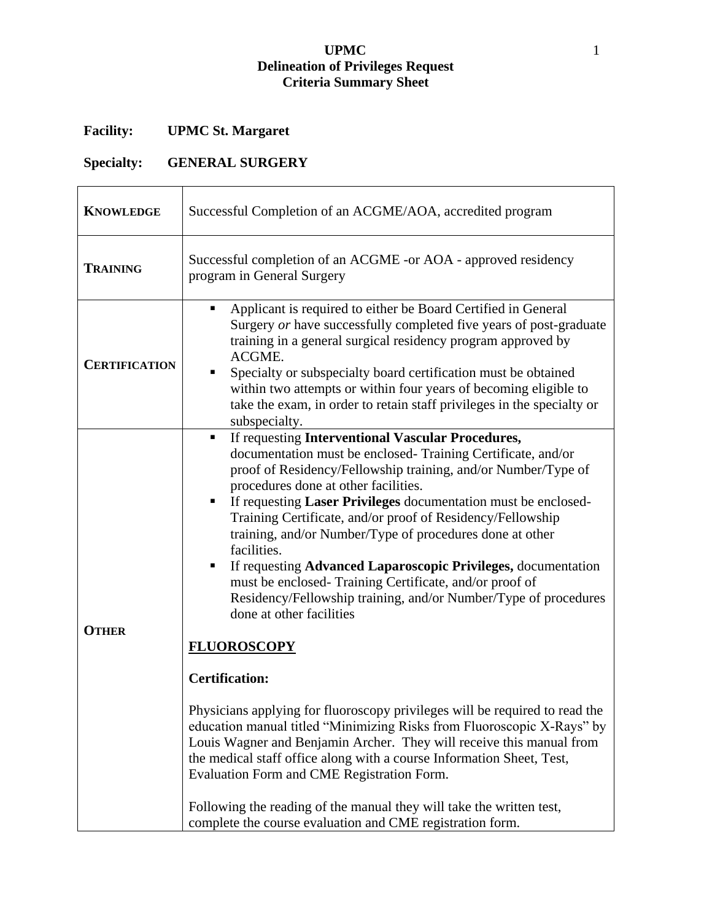## **UPMC** 1 **Delineation of Privileges Request Criteria Summary Sheet**

## **Facility: UPMC St. Margaret**

## **Specialty: GENERAL SURGERY**

| <b>KNOWLEDGE</b>     | Successful Completion of an ACGME/AOA, accredited program                                                                                                                                                                                                                                                                                                                                                                                                                                                                                                                                                                                                                                                                                                                                                                                                                                                                                                          |
|----------------------|--------------------------------------------------------------------------------------------------------------------------------------------------------------------------------------------------------------------------------------------------------------------------------------------------------------------------------------------------------------------------------------------------------------------------------------------------------------------------------------------------------------------------------------------------------------------------------------------------------------------------------------------------------------------------------------------------------------------------------------------------------------------------------------------------------------------------------------------------------------------------------------------------------------------------------------------------------------------|
| <b>TRAINING</b>      | Successful completion of an ACGME -or AOA - approved residency<br>program in General Surgery                                                                                                                                                                                                                                                                                                                                                                                                                                                                                                                                                                                                                                                                                                                                                                                                                                                                       |
| <b>CERTIFICATION</b> | Applicant is required to either be Board Certified in General<br>٠<br>Surgery or have successfully completed five years of post-graduate<br>training in a general surgical residency program approved by<br>ACGME.<br>Specialty or subspecialty board certification must be obtained<br>within two attempts or within four years of becoming eligible to<br>take the exam, in order to retain staff privileges in the specialty or<br>subspecialty.                                                                                                                                                                                                                                                                                                                                                                                                                                                                                                                |
| <b>OTHER</b>         | If requesting Interventional Vascular Procedures,<br>$\blacksquare$<br>documentation must be enclosed- Training Certificate, and/or<br>proof of Residency/Fellowship training, and/or Number/Type of<br>procedures done at other facilities.<br>If requesting Laser Privileges documentation must be enclosed-<br>Training Certificate, and/or proof of Residency/Fellowship<br>training, and/or Number/Type of procedures done at other<br>facilities.<br>If requesting Advanced Laparoscopic Privileges, documentation<br>must be enclosed- Training Certificate, and/or proof of<br>Residency/Fellowship training, and/or Number/Type of procedures<br>done at other facilities<br><b>FLUOROSCOPY</b><br><b>Certification:</b><br>Physicians applying for fluoroscopy privileges will be required to read the<br>education manual titled "Minimizing Risks from Fluoroscopic X-Rays" by<br>Louis Wagner and Benjamin Archer. They will receive this manual from |
|                      | the medical staff office along with a course Information Sheet, Test,<br>Evaluation Form and CME Registration Form.<br>Following the reading of the manual they will take the written test,<br>complete the course evaluation and CME registration form.                                                                                                                                                                                                                                                                                                                                                                                                                                                                                                                                                                                                                                                                                                           |